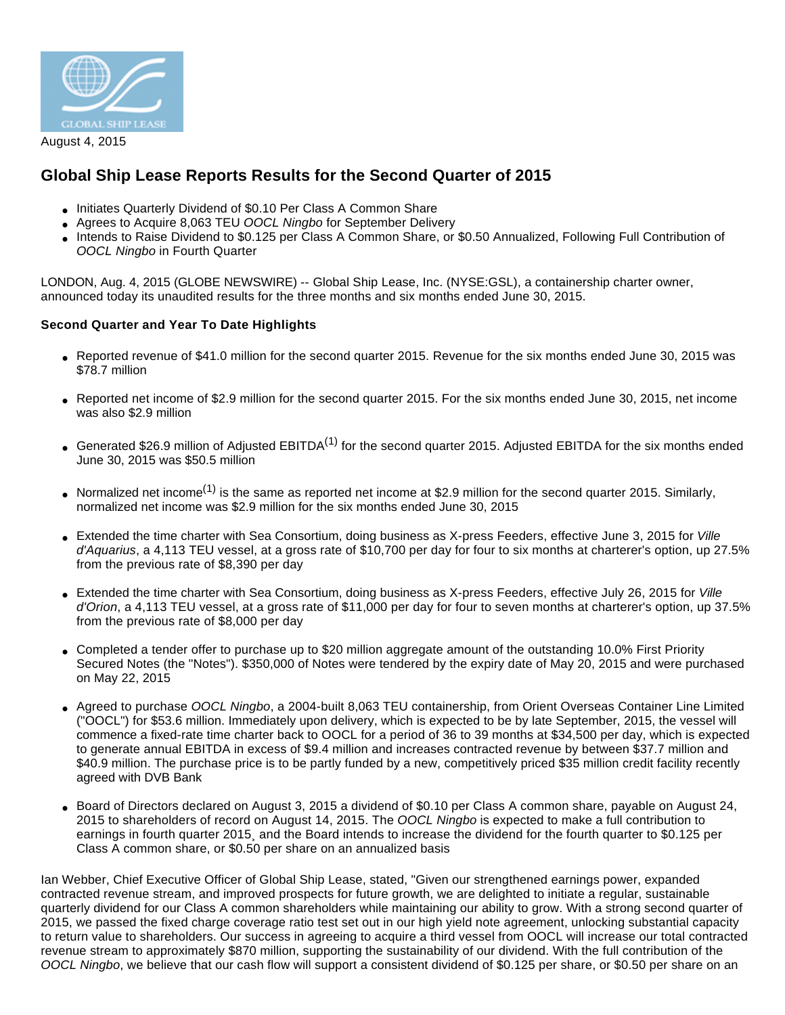

August 4, 2015

# **Global Ship Lease Reports Results for the Second Quarter of 2015**

- Initiates Quarterly Dividend of \$0.10 Per Class A Common Share
- Agrees to Acquire 8,063 TEU OOCL Ningbo for September Delivery
- Intends to Raise Dividend to \$0.125 per Class A Common Share, or \$0.50 Annualized, Following Full Contribution of OOCL Ningbo in Fourth Quarter

LONDON, Aug. 4, 2015 (GLOBE NEWSWIRE) -- Global Ship Lease, Inc. (NYSE:GSL), a containership charter owner, announced today its unaudited results for the three months and six months ended June 30, 2015.

# **Second Quarter and Year To Date Highlights**

- Reported revenue of \$41.0 million for the second quarter 2015. Revenue for the six months ended June 30, 2015 was \$78.7 million
- Reported net income of \$2.9 million for the second quarter 2015. For the six months ended June 30, 2015, net income was also \$2.9 million
- Generated \$26.9 million of Adjusted EBITDA<sup>(1)</sup> for the second quarter 2015. Adjusted EBITDA for the six months ended June 30, 2015 was \$50.5 million
- Normalized net income<sup>(1)</sup> is the same as reported net income at \$2.9 million for the second quarter 2015. Similarly, normalized net income was \$2.9 million for the six months ended June 30, 2015
- Extended the time charter with Sea Consortium, doing business as X-press Feeders, effective June 3, 2015 for Ville d'Aquarius, a 4,113 TEU vessel, at a gross rate of \$10,700 per day for four to six months at charterer's option, up 27.5% from the previous rate of \$8,390 per day
- Extended the time charter with Sea Consortium, doing business as X-press Feeders, effective July 26, 2015 for Ville d'Orion, a 4,113 TEU vessel, at a gross rate of \$11,000 per day for four to seven months at charterer's option, up 37.5% from the previous rate of \$8,000 per day
- Completed a tender offer to purchase up to \$20 million aggregate amount of the outstanding 10.0% First Priority Secured Notes (the "Notes"). \$350,000 of Notes were tendered by the expiry date of May 20, 2015 and were purchased on May 22, 2015
- Agreed to purchase OOCL Ningbo, a 2004-built 8,063 TEU containership, from Orient Overseas Container Line Limited ("OOCL") for \$53.6 million. Immediately upon delivery, which is expected to be by late September, 2015, the vessel will commence a fixed-rate time charter back to OOCL for a period of 36 to 39 months at \$34,500 per day, which is expected to generate annual EBITDA in excess of \$9.4 million and increases contracted revenue by between \$37.7 million and \$40.9 million. The purchase price is to be partly funded by a new, competitively priced \$35 million credit facility recently agreed with DVB Bank
- Board of Directors declared on August 3, 2015 a dividend of \$0.10 per Class A common share, payable on August 24, 2015 to shareholders of record on August 14, 2015. The OOCL Ningbo is expected to make a full contribution to earnings in fourth quarter 2015¸ and the Board intends to increase the dividend for the fourth quarter to \$0.125 per Class A common share, or \$0.50 per share on an annualized basis

Ian Webber, Chief Executive Officer of Global Ship Lease, stated, "Given our strengthened earnings power, expanded contracted revenue stream, and improved prospects for future growth, we are delighted to initiate a regular, sustainable quarterly dividend for our Class A common shareholders while maintaining our ability to grow. With a strong second quarter of 2015, we passed the fixed charge coverage ratio test set out in our high yield note agreement, unlocking substantial capacity to return value to shareholders. Our success in agreeing to acquire a third vessel from OOCL will increase our total contracted revenue stream to approximately \$870 million, supporting the sustainability of our dividend. With the full contribution of the OOCL Ningbo, we believe that our cash flow will support a consistent dividend of \$0.125 per share, or \$0.50 per share on an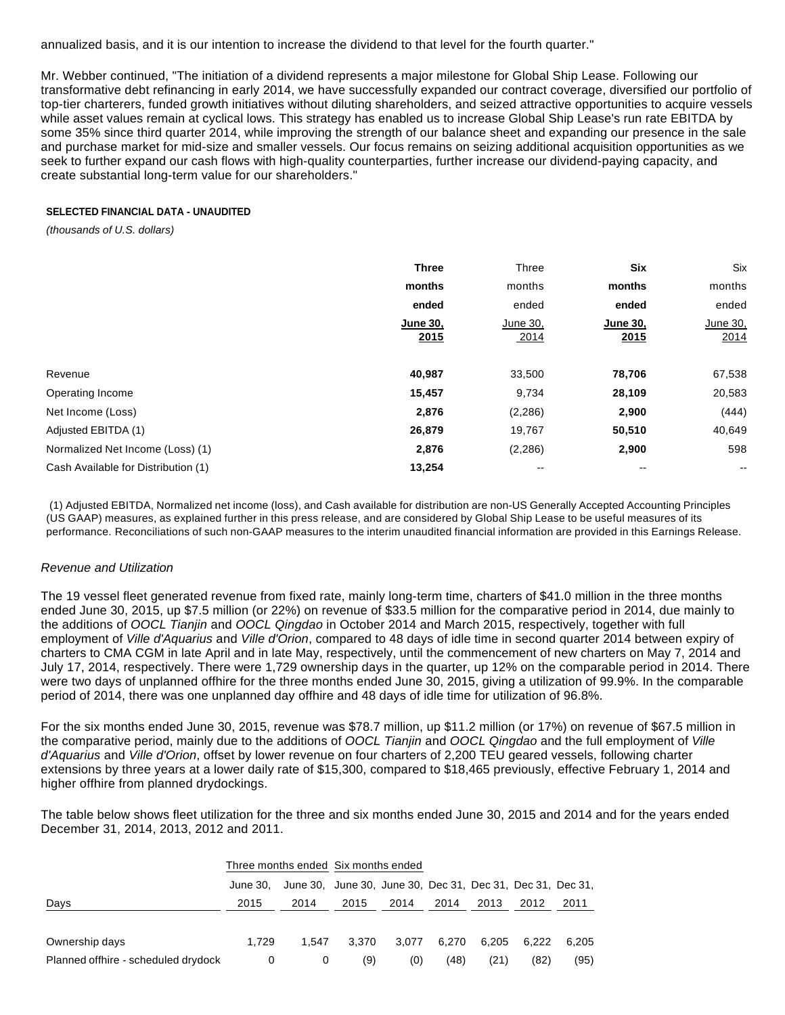annualized basis, and it is our intention to increase the dividend to that level for the fourth quarter."

Mr. Webber continued, "The initiation of a dividend represents a major milestone for Global Ship Lease. Following our transformative debt refinancing in early 2014, we have successfully expanded our contract coverage, diversified our portfolio of top-tier charterers, funded growth initiatives without diluting shareholders, and seized attractive opportunities to acquire vessels while asset values remain at cyclical lows. This strategy has enabled us to increase Global Ship Lease's run rate EBITDA by some 35% since third quarter 2014, while improving the strength of our balance sheet and expanding our presence in the sale and purchase market for mid-size and smaller vessels. Our focus remains on seizing additional acquisition opportunities as we seek to further expand our cash flows with high-quality counterparties, further increase our dividend-paying capacity, and create substantial long-term value for our shareholders."

#### **SELECTED FINANCIAL DATA - UNAUDITED**

(thousands of U.S. dollars)

|                                     | <b>Three</b>            | Three                    | <b>Six</b>              | Six                      |
|-------------------------------------|-------------------------|--------------------------|-------------------------|--------------------------|
|                                     | months                  | months                   | months                  | months                   |
|                                     | ended                   | ended                    | ended                   | ended                    |
|                                     | <b>June 30.</b><br>2015 | June 30,<br>2014         | <b>June 30,</b><br>2015 | June 30,<br>2014         |
| Revenue                             | 40,987                  | 33,500                   | 78,706                  | 67,538                   |
| Operating Income                    | 15,457                  | 9,734                    | 28,109                  | 20,583                   |
| Net Income (Loss)                   | 2,876                   | (2, 286)                 | 2,900                   | (444)                    |
| Adjusted EBITDA (1)                 | 26,879                  | 19,767                   | 50,510                  | 40,649                   |
| Normalized Net Income (Loss) (1)    | 2,876                   | (2, 286)                 | 2,900                   | 598                      |
| Cash Available for Distribution (1) | 13,254                  | $\overline{\phantom{m}}$ | $-$                     | $\overline{\phantom{a}}$ |

 (1) Adjusted EBITDA, Normalized net income (loss), and Cash available for distribution are non-US Generally Accepted Accounting Principles (US GAAP) measures, as explained further in this press release, and are considered by Global Ship Lease to be useful measures of its performance. Reconciliations of such non-GAAP measures to the interim unaudited financial information are provided in this Earnings Release.

# Revenue and Utilization

The 19 vessel fleet generated revenue from fixed rate, mainly long-term time, charters of \$41.0 million in the three months ended June 30, 2015, up \$7.5 million (or 22%) on revenue of \$33.5 million for the comparative period in 2014, due mainly to the additions of OOCL Tianjin and OOCL Qingdao in October 2014 and March 2015, respectively, together with full employment of Ville d'Aquarius and Ville d'Orion, compared to 48 days of idle time in second quarter 2014 between expiry of charters to CMA CGM in late April and in late May, respectively, until the commencement of new charters on May 7, 2014 and July 17, 2014, respectively. There were 1,729 ownership days in the quarter, up 12% on the comparable period in 2014. There were two days of unplanned offhire for the three months ended June 30, 2015, giving a utilization of 99.9%. In the comparable period of 2014, there was one unplanned day offhire and 48 days of idle time for utilization of 96.8%.

For the six months ended June 30, 2015, revenue was \$78.7 million, up \$11.2 million (or 17%) on revenue of \$67.5 million in the comparative period, mainly due to the additions of OOCL Tianjin and OOCL Qingdao and the full employment of Ville d'Aquarius and Ville d'Orion, offset by lower revenue on four charters of 2,200 TEU geared vessels, following charter extensions by three years at a lower daily rate of \$15,300, compared to \$18,465 previously, effective February 1, 2014 and higher offhire from planned drydockings.

The table below shows fleet utilization for the three and six months ended June 30, 2015 and 2014 and for the years ended December 31, 2014, 2013, 2012 and 2011.

|                                     |          | Three months ended Six months ended                        |       |       |       |       |       |       |
|-------------------------------------|----------|------------------------------------------------------------|-------|-------|-------|-------|-------|-------|
|                                     | June 30. | June 30, June 30, June 30, Dec 31, Dec 31, Dec 31, Dec 31, |       |       |       |       |       |       |
| Days                                | 2015     | 2014                                                       | 2015  | 2014  | 2014  | 2013  | 2012  | 2011  |
|                                     |          |                                                            |       |       |       |       |       |       |
| Ownership days                      | 1.729    | 1.547                                                      | 3.370 | 3.077 | 6.270 | 6.205 | 6.222 | 6.205 |
| Planned offhire - scheduled drydock | 0        | 0                                                          | (9)   | (0)   | (48)  | (21)  | (82)  | (95)  |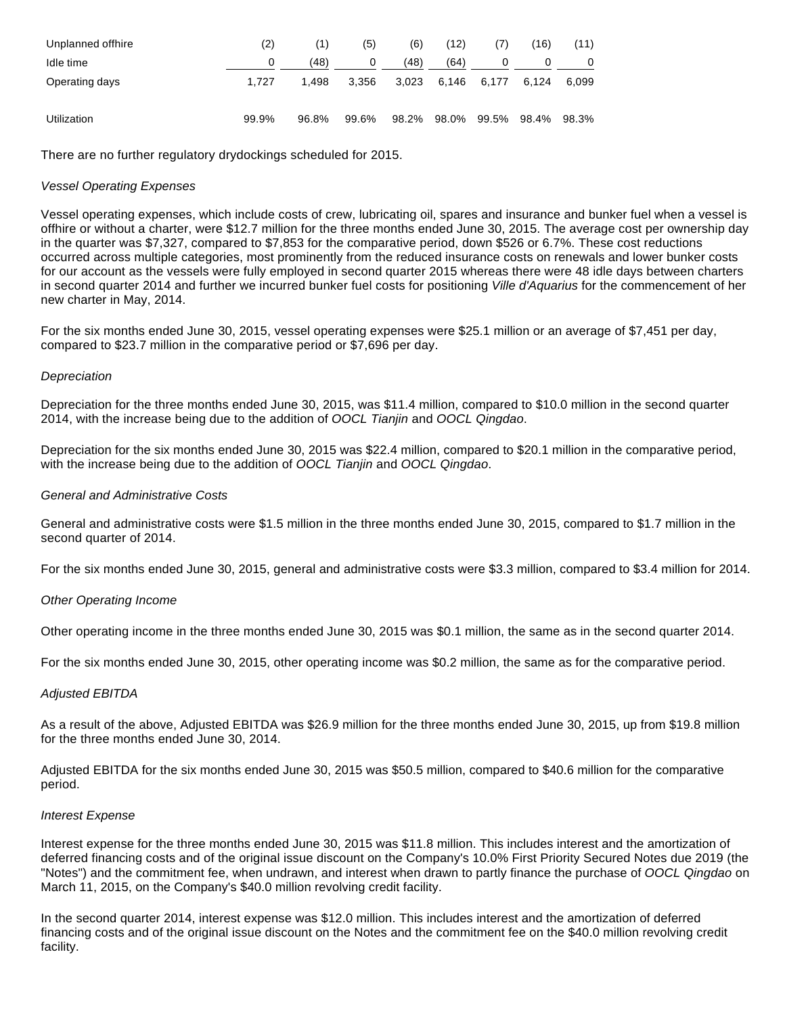| Unplanned offhire | (2)   | (1)   | (5)   | (6)   | (12)        | (7)   | (16)  | (11)  |
|-------------------|-------|-------|-------|-------|-------------|-------|-------|-------|
| Idle time         |       | (48)  |       | (48)  | (64)        | 0     |       | 0     |
| Operating days    | 1.727 | 1.498 | 3.356 | 3,023 | 6.146       | 6.177 | 6.124 | 6.099 |
| Utilization       | 99.9% | 96.8% | 99.6% |       | 98.2% 98.0% | 99.5% | 98.4% | 98.3% |

There are no further regulatory drydockings scheduled for 2015.

# Vessel Operating Expenses

Vessel operating expenses, which include costs of crew, lubricating oil, spares and insurance and bunker fuel when a vessel is offhire or without a charter, were \$12.7 million for the three months ended June 30, 2015. The average cost per ownership day in the quarter was \$7,327, compared to \$7,853 for the comparative period, down \$526 or 6.7%. These cost reductions occurred across multiple categories, most prominently from the reduced insurance costs on renewals and lower bunker costs for our account as the vessels were fully employed in second quarter 2015 whereas there were 48 idle days between charters in second quarter 2014 and further we incurred bunker fuel costs for positioning Ville d'Aquarius for the commencement of her new charter in May, 2014.

For the six months ended June 30, 2015, vessel operating expenses were \$25.1 million or an average of \$7,451 per day, compared to \$23.7 million in the comparative period or \$7,696 per day.

# **Depreciation**

Depreciation for the three months ended June 30, 2015, was \$11.4 million, compared to \$10.0 million in the second quarter 2014, with the increase being due to the addition of OOCL Tianjin and OOCL Qingdao.

Depreciation for the six months ended June 30, 2015 was \$22.4 million, compared to \$20.1 million in the comparative period, with the increase being due to the addition of OOCL Tianjin and OOCL Qingdao.

# General and Administrative Costs

General and administrative costs were \$1.5 million in the three months ended June 30, 2015, compared to \$1.7 million in the second quarter of 2014.

For the six months ended June 30, 2015, general and administrative costs were \$3.3 million, compared to \$3.4 million for 2014.

#### Other Operating Income

Other operating income in the three months ended June 30, 2015 was \$0.1 million, the same as in the second quarter 2014.

For the six months ended June 30, 2015, other operating income was \$0.2 million, the same as for the comparative period.

# Adjusted EBITDA

As a result of the above, Adjusted EBITDA was \$26.9 million for the three months ended June 30, 2015, up from \$19.8 million for the three months ended June 30, 2014.

Adjusted EBITDA for the six months ended June 30, 2015 was \$50.5 million, compared to \$40.6 million for the comparative period.

#### Interest Expense

Interest expense for the three months ended June 30, 2015 was \$11.8 million. This includes interest and the amortization of deferred financing costs and of the original issue discount on the Company's 10.0% First Priority Secured Notes due 2019 (the "Notes") and the commitment fee, when undrawn, and interest when drawn to partly finance the purchase of OOCL Qingdao on March 11, 2015, on the Company's \$40.0 million revolving credit facility.

In the second quarter 2014, interest expense was \$12.0 million. This includes interest and the amortization of deferred financing costs and of the original issue discount on the Notes and the commitment fee on the \$40.0 million revolving credit facility.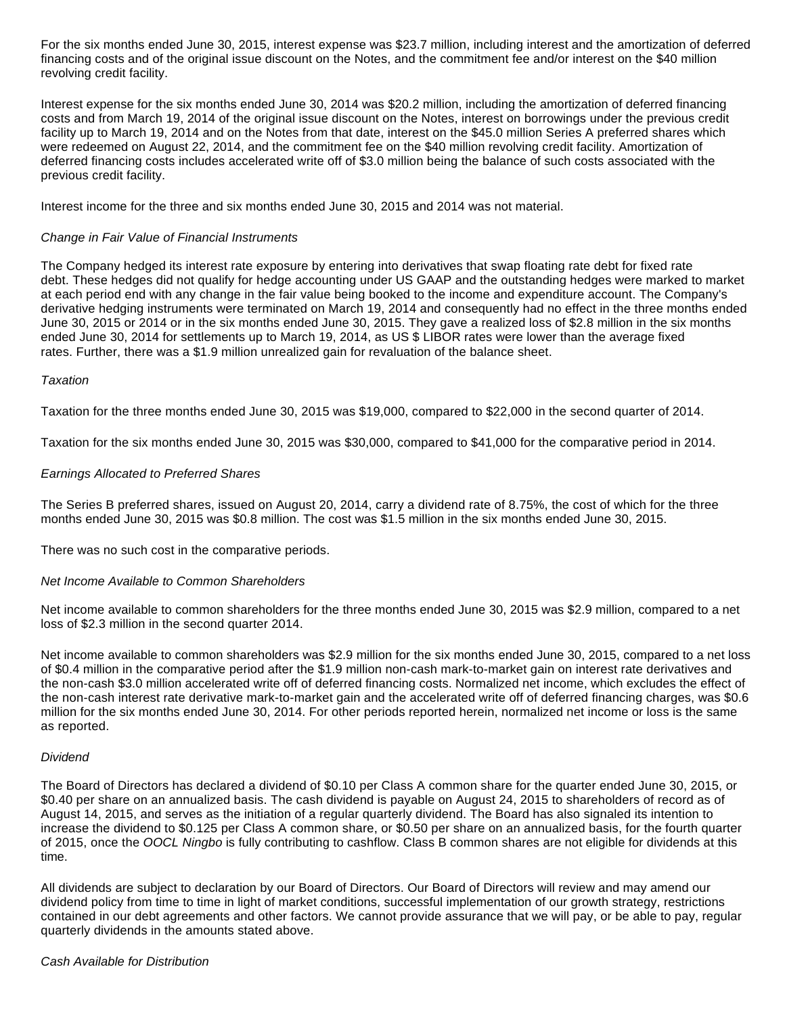For the six months ended June 30, 2015, interest expense was \$23.7 million, including interest and the amortization of deferred financing costs and of the original issue discount on the Notes, and the commitment fee and/or interest on the \$40 million revolving credit facility.

Interest expense for the six months ended June 30, 2014 was \$20.2 million, including the amortization of deferred financing costs and from March 19, 2014 of the original issue discount on the Notes, interest on borrowings under the previous credit facility up to March 19, 2014 and on the Notes from that date, interest on the \$45.0 million Series A preferred shares which were redeemed on August 22, 2014, and the commitment fee on the \$40 million revolving credit facility. Amortization of deferred financing costs includes accelerated write off of \$3.0 million being the balance of such costs associated with the previous credit facility.

Interest income for the three and six months ended June 30, 2015 and 2014 was not material.

# Change in Fair Value of Financial Instruments

The Company hedged its interest rate exposure by entering into derivatives that swap floating rate debt for fixed rate debt. These hedges did not qualify for hedge accounting under US GAAP and the outstanding hedges were marked to market at each period end with any change in the fair value being booked to the income and expenditure account. The Company's derivative hedging instruments were terminated on March 19, 2014 and consequently had no effect in the three months ended June 30, 2015 or 2014 or in the six months ended June 30, 2015. They gave a realized loss of \$2.8 million in the six months ended June 30, 2014 for settlements up to March 19, 2014, as US \$ LIBOR rates were lower than the average fixed rates. Further, there was a \$1.9 million unrealized gain for revaluation of the balance sheet.

#### **Taxation**

Taxation for the three months ended June 30, 2015 was \$19,000, compared to \$22,000 in the second quarter of 2014.

Taxation for the six months ended June 30, 2015 was \$30,000, compared to \$41,000 for the comparative period in 2014.

# Earnings Allocated to Preferred Shares

The Series B preferred shares, issued on August 20, 2014, carry a dividend rate of 8.75%, the cost of which for the three months ended June 30, 2015 was \$0.8 million. The cost was \$1.5 million in the six months ended June 30, 2015.

There was no such cost in the comparative periods.

#### Net Income Available to Common Shareholders

Net income available to common shareholders for the three months ended June 30, 2015 was \$2.9 million, compared to a net loss of \$2.3 million in the second quarter 2014.

Net income available to common shareholders was \$2.9 million for the six months ended June 30, 2015, compared to a net loss of \$0.4 million in the comparative period after the \$1.9 million non-cash mark-to-market gain on interest rate derivatives and the non-cash \$3.0 million accelerated write off of deferred financing costs. Normalized net income, which excludes the effect of the non-cash interest rate derivative mark-to-market gain and the accelerated write off of deferred financing charges, was \$0.6 million for the six months ended June 30, 2014. For other periods reported herein, normalized net income or loss is the same as reported.

#### Dividend

The Board of Directors has declared a dividend of \$0.10 per Class A common share for the quarter ended June 30, 2015, or \$0.40 per share on an annualized basis. The cash dividend is payable on August 24, 2015 to shareholders of record as of August 14, 2015, and serves as the initiation of a regular quarterly dividend. The Board has also signaled its intention to increase the dividend to \$0.125 per Class A common share, or \$0.50 per share on an annualized basis, for the fourth quarter of 2015, once the OOCL Ningbo is fully contributing to cashflow. Class B common shares are not eligible for dividends at this time.

All dividends are subject to declaration by our Board of Directors. Our Board of Directors will review and may amend our dividend policy from time to time in light of market conditions, successful implementation of our growth strategy, restrictions contained in our debt agreements and other factors. We cannot provide assurance that we will pay, or be able to pay, regular quarterly dividends in the amounts stated above.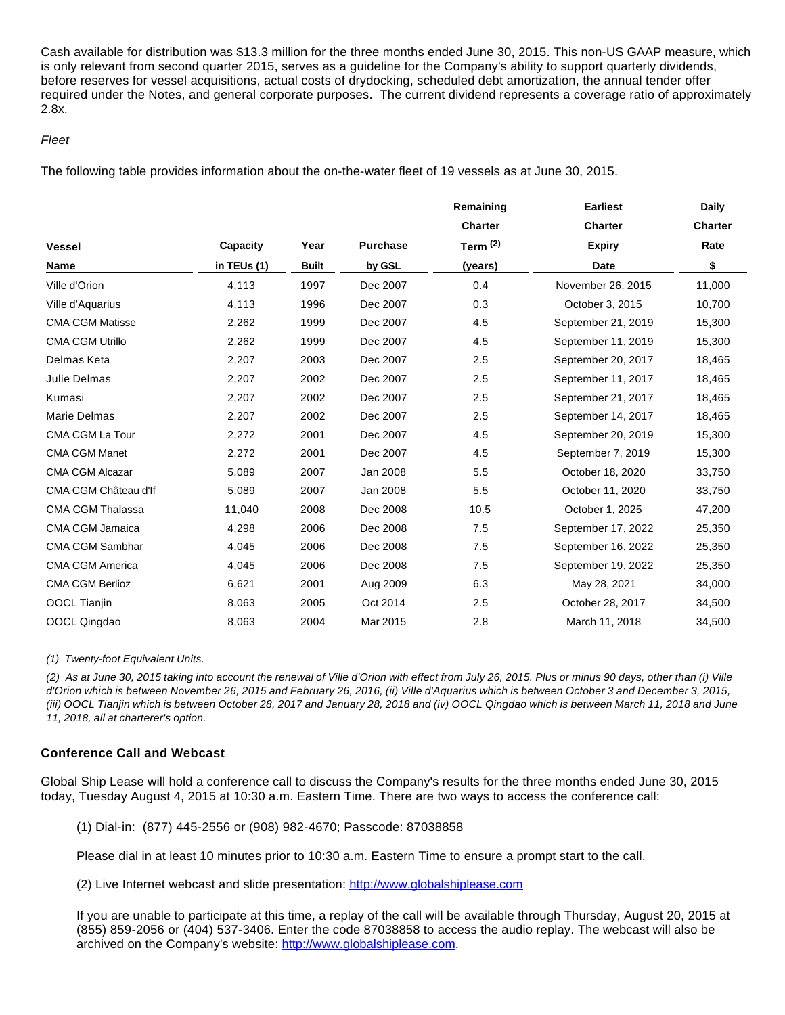Cash available for distribution was \$13.3 million for the three months ended June 30, 2015. This non-US GAAP measure, which is only relevant from second quarter 2015, serves as a guideline for the Company's ability to support quarterly dividends, before reserves for vessel acquisitions, actual costs of drydocking, scheduled debt amortization, the annual tender offer required under the Notes, and general corporate purposes. The current dividend represents a coverage ratio of approximately 2.8x.

# Fleet

The following table provides information about the on-the-water fleet of 19 vessels as at June 30, 2015.

| <b>Charter</b><br>Rate<br>\$<br>11,000 |
|----------------------------------------|
|                                        |
|                                        |
|                                        |
|                                        |
| 10,700                                 |
| 15,300                                 |
| 15,300                                 |
| 18,465                                 |
| 18,465                                 |
| 18,465                                 |
| 18,465                                 |
| 15,300                                 |
| 15,300                                 |
| 33,750                                 |
| 33,750                                 |
| 47,200                                 |
| 25,350                                 |
| 25,350                                 |
| 25,350                                 |
| 34,000                                 |
| 34,500                                 |
| 34,500                                 |
|                                        |

#### (1) Twenty-foot Equivalent Units.

(2) As at June 30, 2015 taking into account the renewal of Ville d'Orion with effect from July 26, 2015. Plus or minus 90 days, other than (i) Ville d'Orion which is between November 26, 2015 and February 26, 2016, (ii) Ville d'Aquarius which is between October 3 and December 3, 2015, (iii) OOCL Tianjin which is between October 28, 2017 and January 28, 2018 and (iv) OOCL Qingdao which is between March 11, 2018 and June 11, 2018, all at charterer's option.

#### **Conference Call and Webcast**

Global Ship Lease will hold a conference call to discuss the Company's results for the three months ended June 30, 2015 today, Tuesday August 4, 2015 at 10:30 a.m. Eastern Time. There are two ways to access the conference call:

(1) Dial-in: (877) 445-2556 or (908) 982-4670; Passcode: 87038858

Please dial in at least 10 minutes prior to 10:30 a.m. Eastern Time to ensure a prompt start to the call.

(2) Live Internet webcast and slide presentation: [http://www.globalshiplease.com](http://www.globenewswire.com/newsroom/ctr?d=10144396&l=39&a=http%3A%2F%2Fwww.globalshiplease.com&u=http%3A%2F%2Fwww.globalshiplease.com%2F)

If you are unable to participate at this time, a replay of the call will be available through Thursday, August 20, 2015 at (855) 859-2056 or (404) 537-3406. Enter the code 87038858 to access the audio replay. The webcast will also be archived on the Company's website: [http://www.globalshiplease.com](http://www.globenewswire.com/newsroom/ctr?d=10144396&l=40&a=http%3A%2F%2Fwww.globalshiplease.com&u=http%3A%2F%2Fwww.globalshiplease.com%2F).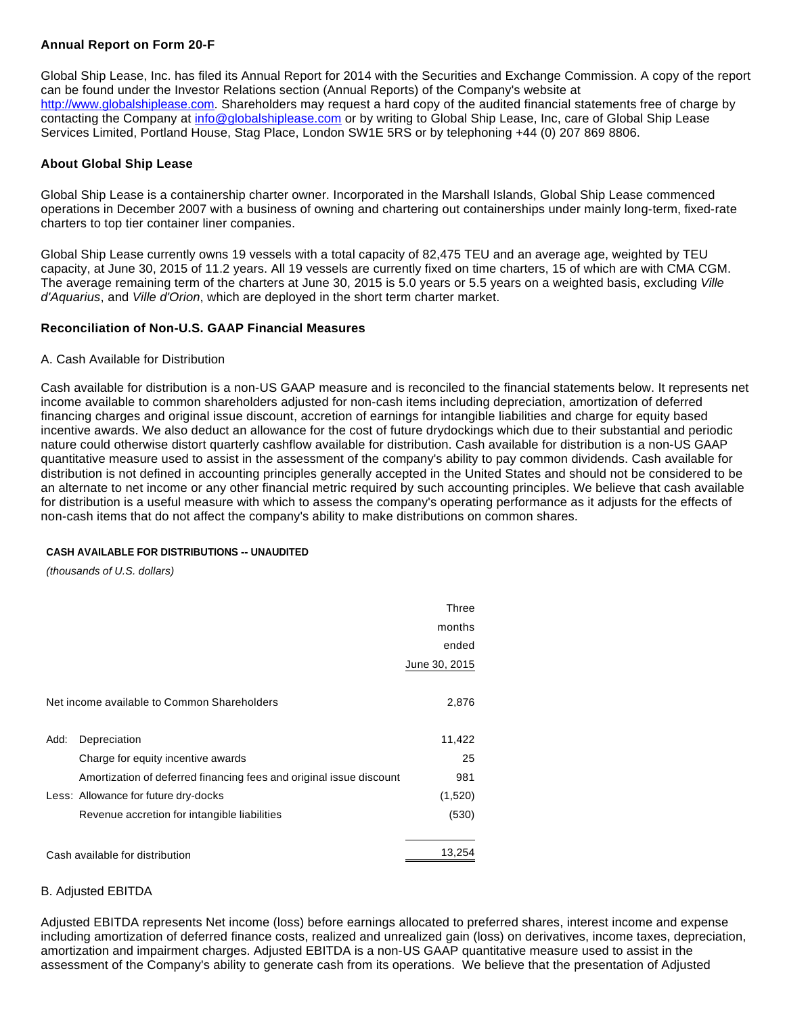# **Annual Report on Form 20-F**

Global Ship Lease, Inc. has filed its Annual Report for 2014 with the Securities and Exchange Commission. A copy of the report can be found under the Investor Relations section (Annual Reports) of the Company's website at [http://www.globalshiplease.com](http://www.globenewswire.com/newsroom/ctr?d=10144396&l=42&a=http%3A%2F%2Fwww.globalshiplease.com&u=http%3A%2F%2Fwww.globalshiplease.com%2F). Shareholders may request a hard copy of the audited financial statements free of charge by contacting the Company at [info@globalshiplease.com](http://www.globenewswire.com/newsroom/ctr?d=10144396&l=42&a=info%40globalshiplease.com&u=mailto%3Ainfo%40globalshiplease.com) or by writing to Global Ship Lease, Inc, care of Global Ship Lease Services Limited, Portland House, Stag Place, London SW1E 5RS or by telephoning +44 (0) 207 869 8806.

# **About Global Ship Lease**

Global Ship Lease is a containership charter owner. Incorporated in the Marshall Islands, Global Ship Lease commenced operations in December 2007 with a business of owning and chartering out containerships under mainly long-term, fixed-rate charters to top tier container liner companies.

Global Ship Lease currently owns 19 vessels with a total capacity of 82,475 TEU and an average age, weighted by TEU capacity, at June 30, 2015 of 11.2 years. All 19 vessels are currently fixed on time charters, 15 of which are with CMA CGM. The average remaining term of the charters at June 30, 2015 is 5.0 years or 5.5 years on a weighted basis, excluding Ville d'Aquarius, and Ville d'Orion, which are deployed in the short term charter market.

# **Reconciliation of Non-U.S. GAAP Financial Measures**

# A. Cash Available for Distribution

Cash available for distribution is a non-US GAAP measure and is reconciled to the financial statements below. It represents net income available to common shareholders adjusted for non-cash items including depreciation, amortization of deferred financing charges and original issue discount, accretion of earnings for intangible liabilities and charge for equity based incentive awards. We also deduct an allowance for the cost of future drydockings which due to their substantial and periodic nature could otherwise distort quarterly cashflow available for distribution. Cash available for distribution is a non-US GAAP quantitative measure used to assist in the assessment of the company's ability to pay common dividends. Cash available for distribution is not defined in accounting principles generally accepted in the United States and should not be considered to be an alternate to net income or any other financial metric required by such accounting principles. We believe that cash available for distribution is a useful measure with which to assess the company's operating performance as it adjusts for the effects of non-cash items that do not affect the company's ability to make distributions on common shares.

# **CASH AVAILABLE FOR DISTRIBUTIONS -- UNAUDITED**

(thousands of U.S. dollars)

|      |                                                                     | Three         |
|------|---------------------------------------------------------------------|---------------|
|      |                                                                     | months        |
|      |                                                                     | ended         |
|      |                                                                     | June 30, 2015 |
|      |                                                                     |               |
|      | Net income available to Common Shareholders                         | 2,876         |
|      |                                                                     |               |
| Add: | Depreciation                                                        | 11,422        |
|      | Charge for equity incentive awards                                  | 25            |
|      | Amortization of deferred financing fees and original issue discount | 981           |
|      | Less: Allowance for future dry-docks                                | (1,520)       |
|      | Revenue accretion for intangible liabilities                        | (530)         |
|      |                                                                     |               |
|      | Cash available for distribution                                     | 13,254        |

# B. Adjusted EBITDA

Adjusted EBITDA represents Net income (loss) before earnings allocated to preferred shares, interest income and expense including amortization of deferred finance costs, realized and unrealized gain (loss) on derivatives, income taxes, depreciation, amortization and impairment charges. Adjusted EBITDA is a non-US GAAP quantitative measure used to assist in the assessment of the Company's ability to generate cash from its operations. We believe that the presentation of Adjusted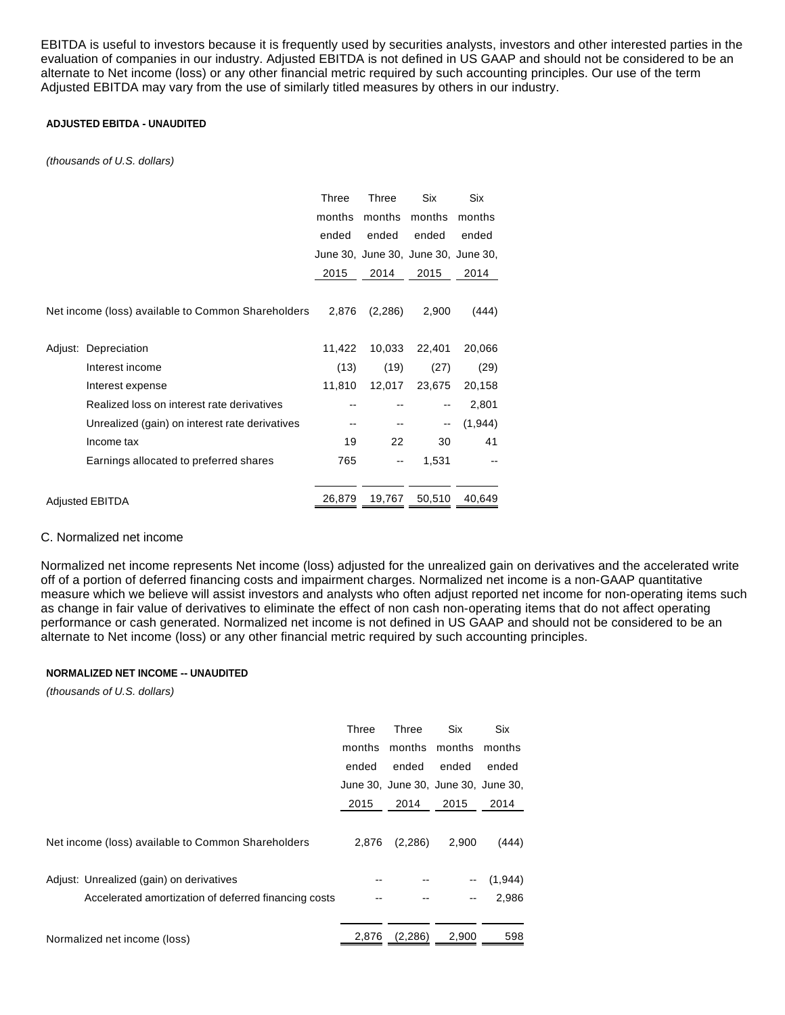EBITDA is useful to investors because it is frequently used by securities analysts, investors and other interested parties in the evaluation of companies in our industry. Adjusted EBITDA is not defined in US GAAP and should not be considered to be an alternate to Net income (loss) or any other financial metric required by such accounting principles. Our use of the term Adjusted EBITDA may vary from the use of similarly titled measures by others in our industry.

# **ADJUSTED EBITDA - UNAUDITED**

(thousands of U.S. dollars)

|                                                    | Three  | Three    | Six                                 | Six     |
|----------------------------------------------------|--------|----------|-------------------------------------|---------|
|                                                    | months | months   | months                              | months  |
|                                                    | ended  | ended    | ended                               | ended   |
|                                                    |        |          | June 30, June 30, June 30, June 30, |         |
|                                                    | 2015   | 2014     | 2015                                | 2014    |
|                                                    |        |          |                                     |         |
| Net income (loss) available to Common Shareholders | 2,876  | (2, 286) | 2,900                               | (444)   |
|                                                    |        |          |                                     |         |
| Adjust: Depreciation                               | 11,422 | 10,033   | 22,401                              | 20,066  |
| Interest income                                    | (13)   | (19)     | (27)                                | (29)    |
| Interest expense                                   | 11,810 | 12,017   | 23,675                              | 20,158  |
| Realized loss on interest rate derivatives         |        |          | --                                  | 2,801   |
| Unrealized (gain) on interest rate derivatives     |        |          | --                                  | (1,944) |
| Income tax                                         | 19     | 22       | 30                                  | 41      |
| Earnings allocated to preferred shares             | 765    | --       | 1,531                               |         |
|                                                    |        |          |                                     |         |
| <b>Adjusted EBITDA</b>                             | 26,879 | 19,767   | 50,510                              | 40,649  |

#### C. Normalized net income

Normalized net income represents Net income (loss) adjusted for the unrealized gain on derivatives and the accelerated write off of a portion of deferred financing costs and impairment charges. Normalized net income is a non-GAAP quantitative measure which we believe will assist investors and analysts who often adjust reported net income for non-operating items such as change in fair value of derivatives to eliminate the effect of non cash non-operating items that do not affect operating performance or cash generated. Normalized net income is not defined in US GAAP and should not be considered to be an alternate to Net income (loss) or any other financial metric required by such accounting principles.

#### **NORMALIZED NET INCOME -- UNAUDITED**

(thousands of U.S. dollars)

|                                                      | Three  | Three    | <b>Six</b>                          | <b>Six</b> |
|------------------------------------------------------|--------|----------|-------------------------------------|------------|
|                                                      | months | months   | months                              | months     |
|                                                      | ended  | ended    | ended                               | ended      |
|                                                      |        |          | June 30, June 30, June 30, June 30, |            |
|                                                      | 2015   | 2014     | 2015                                | 2014       |
|                                                      |        |          |                                     |            |
| Net income (loss) available to Common Shareholders   | 2,876  | (2,286)  | 2,900                               | (444)      |
|                                                      |        |          |                                     |            |
| Adjust: Unrealized (gain) on derivatives             |        |          | $\overline{\phantom{a}}$            | (1,944)    |
| Accelerated amortization of deferred financing costs |        |          | --                                  | 2,986      |
|                                                      |        |          |                                     |            |
| Normalized net income (loss)                         | 2,876  | (2, 286) | 2,900                               | 598        |
|                                                      |        |          |                                     |            |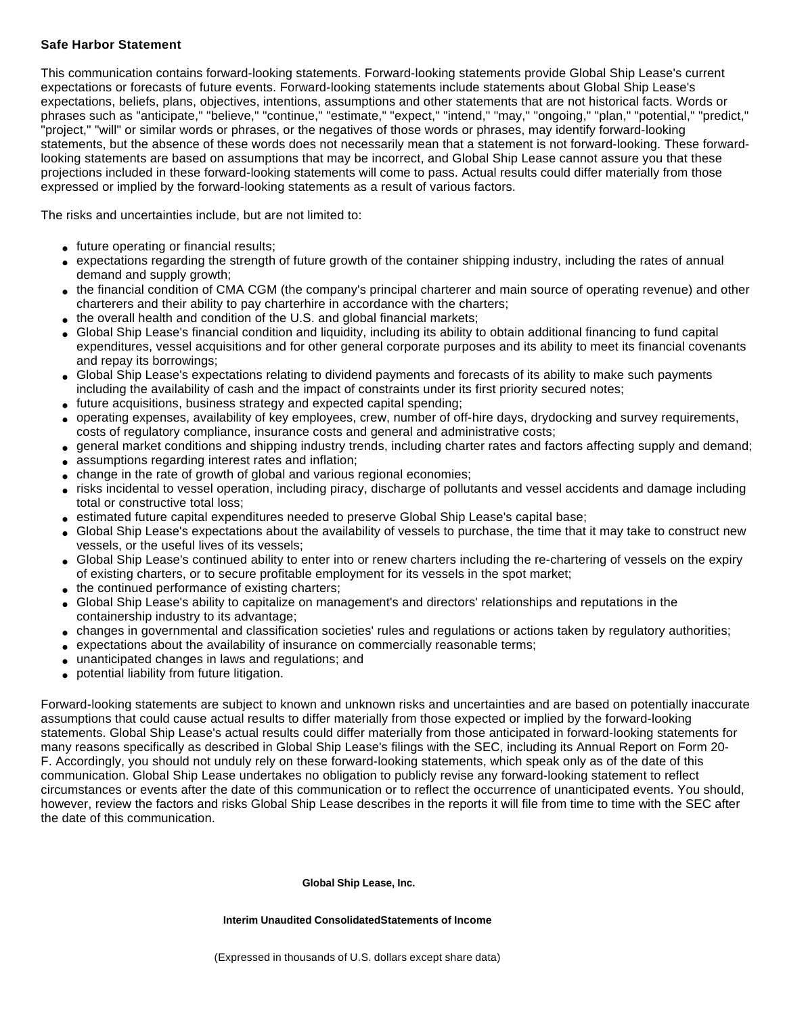# **Safe Harbor Statement**

This communication contains forward-looking statements. Forward-looking statements provide Global Ship Lease's current expectations or forecasts of future events. Forward-looking statements include statements about Global Ship Lease's expectations, beliefs, plans, objectives, intentions, assumptions and other statements that are not historical facts. Words or phrases such as "anticipate," "believe," "continue," "estimate," "expect," "intend," "may," "ongoing," "plan," "potential," "predict," "project," "will" or similar words or phrases, or the negatives of those words or phrases, may identify forward-looking statements, but the absence of these words does not necessarily mean that a statement is not forward-looking. These forwardlooking statements are based on assumptions that may be incorrect, and Global Ship Lease cannot assure you that these projections included in these forward-looking statements will come to pass. Actual results could differ materially from those expressed or implied by the forward-looking statements as a result of various factors.

The risks and uncertainties include, but are not limited to:

- future operating or financial results;
- expectations regarding the strength of future growth of the container shipping industry, including the rates of annual demand and supply growth;
- the financial condition of CMA CGM (the company's principal charterer and main source of operating revenue) and other charterers and their ability to pay charterhire in accordance with the charters;
- the overall health and condition of the U.S. and global financial markets;
- Global Ship Lease's financial condition and liquidity, including its ability to obtain additional financing to fund capital expenditures, vessel acquisitions and for other general corporate purposes and its ability to meet its financial covenants and repay its borrowings;
- Global Ship Lease's expectations relating to dividend payments and forecasts of its ability to make such payments including the availability of cash and the impact of constraints under its first priority secured notes;
- future acquisitions, business strategy and expected capital spending;
- operating expenses, availability of key employees, crew, number of off-hire days, drydocking and survey requirements, costs of regulatory compliance, insurance costs and general and administrative costs;
- general market conditions and shipping industry trends, including charter rates and factors affecting supply and demand;
- assumptions regarding interest rates and inflation;
- change in the rate of growth of global and various regional economies;
- risks incidental to vessel operation, including piracy, discharge of pollutants and vessel accidents and damage including total or constructive total loss;
- estimated future capital expenditures needed to preserve Global Ship Lease's capital base;
- Global Ship Lease's expectations about the availability of vessels to purchase, the time that it may take to construct new vessels, or the useful lives of its vessels;
- Global Ship Lease's continued ability to enter into or renew charters including the re-chartering of vessels on the expiry of existing charters, or to secure profitable employment for its vessels in the spot market;
- the continued performance of existing charters;
- Global Ship Lease's ability to capitalize on management's and directors' relationships and reputations in the containership industry to its advantage;
- changes in governmental and classification societies' rules and regulations or actions taken by regulatory authorities;
- expectations about the availability of insurance on commercially reasonable terms;
- unanticipated changes in laws and regulations; and
- potential liability from future litigation.

Forward-looking statements are subject to known and unknown risks and uncertainties and are based on potentially inaccurate assumptions that could cause actual results to differ materially from those expected or implied by the forward-looking statements. Global Ship Lease's actual results could differ materially from those anticipated in forward-looking statements for many reasons specifically as described in Global Ship Lease's filings with the SEC, including its Annual Report on Form 20- F. Accordingly, you should not unduly rely on these forward-looking statements, which speak only as of the date of this communication. Global Ship Lease undertakes no obligation to publicly revise any forward-looking statement to reflect circumstances or events after the date of this communication or to reflect the occurrence of unanticipated events. You should, however, review the factors and risks Global Ship Lease describes in the reports it will file from time to time with the SEC after the date of this communication.

#### **Global Ship Lease, Inc.**

**Interim Unaudited ConsolidatedStatements of Income**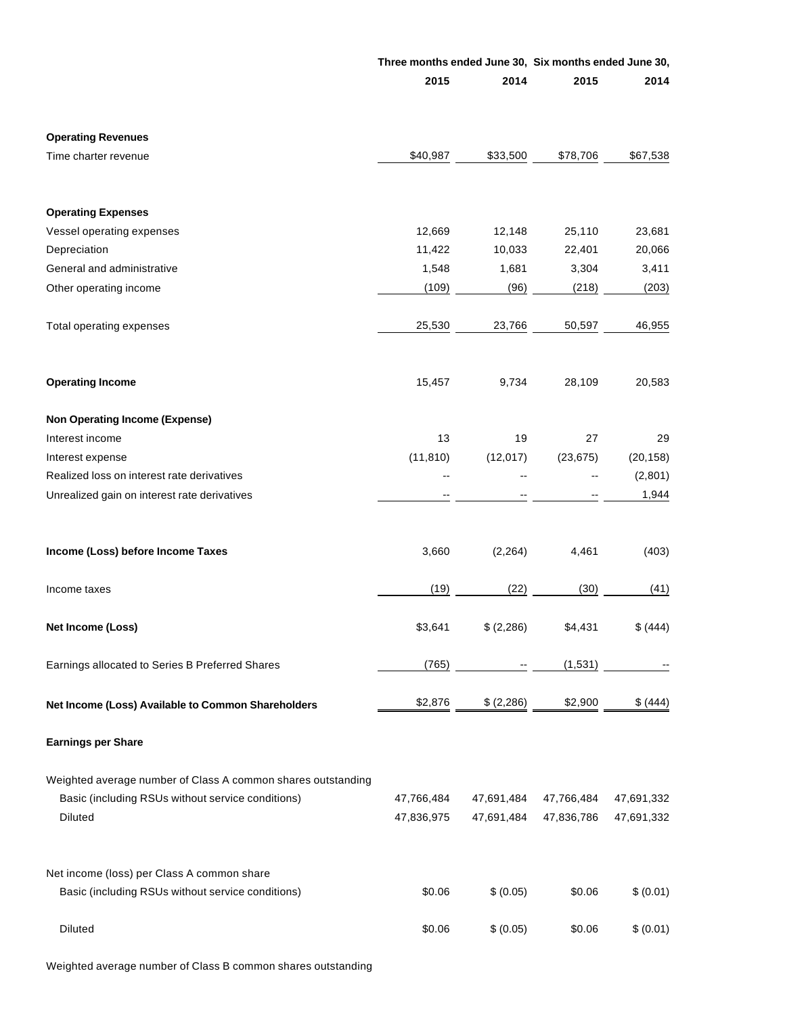|                                                                                                                              | Three months ended June 30, Six months ended June 30, |                          |                          |                          |
|------------------------------------------------------------------------------------------------------------------------------|-------------------------------------------------------|--------------------------|--------------------------|--------------------------|
|                                                                                                                              | 2015                                                  | 2014                     | 2015                     | 2014                     |
| <b>Operating Revenues</b>                                                                                                    |                                                       |                          |                          |                          |
| Time charter revenue                                                                                                         | \$40,987                                              | \$33,500                 | \$78,706                 | \$67,538                 |
| <b>Operating Expenses</b>                                                                                                    |                                                       |                          |                          |                          |
| Vessel operating expenses                                                                                                    | 12,669                                                | 12,148                   | 25,110                   | 23,681                   |
| Depreciation                                                                                                                 | 11,422                                                | 10,033                   | 22,401                   | 20,066                   |
| General and administrative                                                                                                   | 1,548                                                 | 1,681                    | 3,304                    | 3,411                    |
| Other operating income                                                                                                       | (109)                                                 | (96)                     | (218)                    | (203)                    |
| Total operating expenses                                                                                                     | 25,530                                                | 23,766                   | 50,597                   | 46,955                   |
| <b>Operating Income</b>                                                                                                      | 15,457                                                | 9,734                    | 28,109                   | 20,583                   |
| <b>Non Operating Income (Expense)</b>                                                                                        |                                                       |                          |                          |                          |
| Interest income                                                                                                              | 13                                                    | 19                       | 27                       | 29                       |
| Interest expense                                                                                                             | (11, 810)                                             | (12, 017)                | (23, 675)                | (20, 158)                |
| Realized loss on interest rate derivatives                                                                                   |                                                       |                          |                          | (2,801)                  |
| Unrealized gain on interest rate derivatives                                                                                 |                                                       |                          |                          | 1,944                    |
| Income (Loss) before Income Taxes                                                                                            | 3,660                                                 | (2, 264)                 | 4,461                    | (403)                    |
| Income taxes                                                                                                                 | (19)                                                  | (22)                     | (30)                     | (41)                     |
| Net Income (Loss)                                                                                                            | \$3,641                                               | \$ (2,286)               | \$4,431                  | \$ (444)                 |
| Earnings allocated to Series B Preferred Shares                                                                              | (765)                                                 |                          | (1,531)                  |                          |
| Net Income (Loss) Available to Common Shareholders                                                                           | \$2,876                                               | \$ (2,286)               | \$2,900                  | \$ (444)                 |
| <b>Earnings per Share</b>                                                                                                    |                                                       |                          |                          |                          |
| Weighted average number of Class A common shares outstanding<br>Basic (including RSUs without service conditions)<br>Diluted | 47,766,484<br>47,836,975                              | 47,691,484<br>47,691,484 | 47,766,484<br>47,836,786 | 47,691,332<br>47,691,332 |
| Net income (loss) per Class A common share<br>Basic (including RSUs without service conditions)                              | \$0.06                                                | \$ (0.05)                | \$0.06                   | \$ (0.01)                |
| Diluted                                                                                                                      | \$0.06                                                | \$ (0.05)                | \$0.06                   | \$ (0.01)                |

Weighted average number of Class B common shares outstanding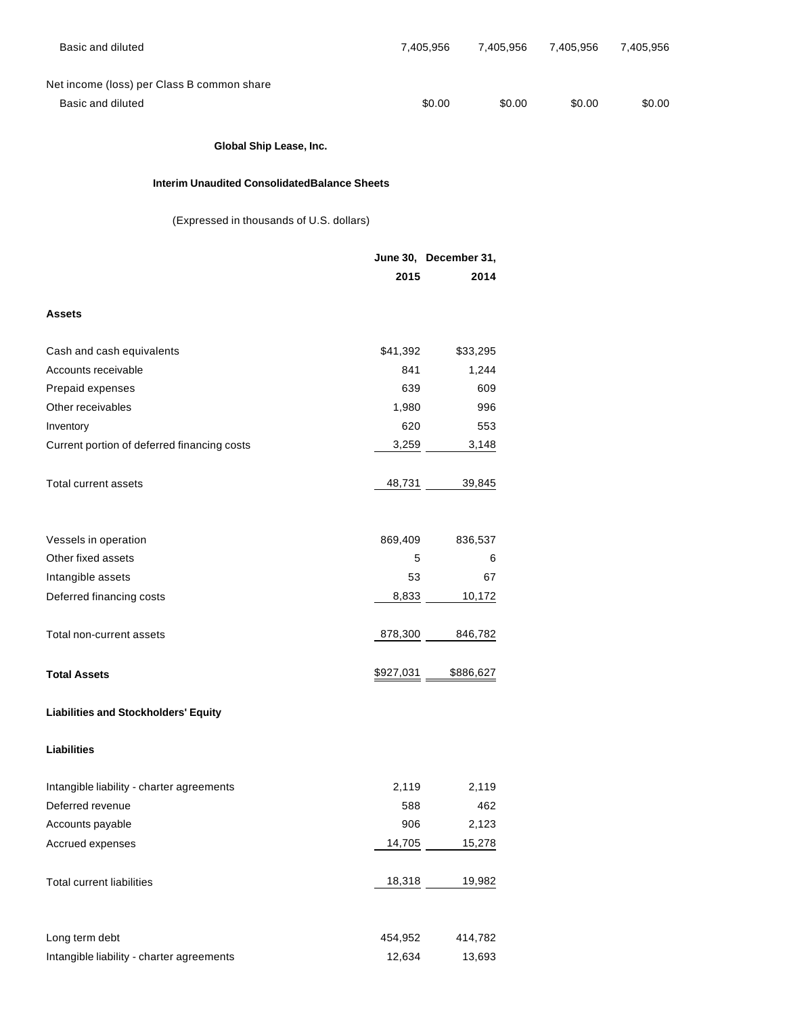| Basic and diluted                                   |           | 7,405,956             | 7,405,956 | 7,405,956 | 7,405,956 |
|-----------------------------------------------------|-----------|-----------------------|-----------|-----------|-----------|
|                                                     |           |                       |           |           |           |
| Net income (loss) per Class B common share          |           |                       |           |           |           |
| Basic and diluted                                   |           | \$0.00                | \$0.00    | \$0.00    | \$0.00    |
|                                                     |           |                       |           |           |           |
| Global Ship Lease, Inc.                             |           |                       |           |           |           |
| <b>Interim Unaudited ConsolidatedBalance Sheets</b> |           |                       |           |           |           |
| (Expressed in thousands of U.S. dollars)            |           |                       |           |           |           |
|                                                     |           | June 30, December 31, |           |           |           |
|                                                     | 2015      |                       | 2014      |           |           |
| <b>Assets</b>                                       |           |                       |           |           |           |
| Cash and cash equivalents                           | \$41,392  |                       | \$33,295  |           |           |
| Accounts receivable                                 | 841       |                       | 1,244     |           |           |
| Prepaid expenses                                    | 639       |                       | 609       |           |           |
| Other receivables                                   | 1,980     |                       | 996       |           |           |
| Inventory                                           | 620       |                       | 553       |           |           |
| Current portion of deferred financing costs         | 3,259     |                       | 3,148     |           |           |
| Total current assets                                | 48,731    |                       | 39,845    |           |           |
|                                                     |           |                       |           |           |           |
| Vessels in operation                                | 869,409   |                       | 836,537   |           |           |
| Other fixed assets                                  | 5         |                       | 6         |           |           |
| Intangible assets                                   | 53        |                       | 67        |           |           |
| Deferred financing costs                            | 8,833     |                       | 10,172    |           |           |
| Total non-current assets                            | 878,300   |                       | 846,782   |           |           |
| <b>Total Assets</b>                                 | \$927,031 | \$886,627             |           |           |           |
| <b>Liabilities and Stockholders' Equity</b>         |           |                       |           |           |           |
| <b>Liabilities</b>                                  |           |                       |           |           |           |
| Intangible liability - charter agreements           | 2,119     |                       | 2,119     |           |           |
| Deferred revenue                                    | 588       |                       | 462       |           |           |
| Accounts payable                                    | 906       |                       | 2,123     |           |           |
| Accrued expenses                                    | 14,705    |                       | 15,278    |           |           |
|                                                     |           |                       |           |           |           |
| <b>Total current liabilities</b>                    | 18,318    |                       | 19,982    |           |           |
|                                                     |           |                       |           |           |           |
| Long term debt                                      | 454,952   |                       | 414,782   |           |           |
| Intangible liability - charter agreements           | 12,634    |                       | 13,693    |           |           |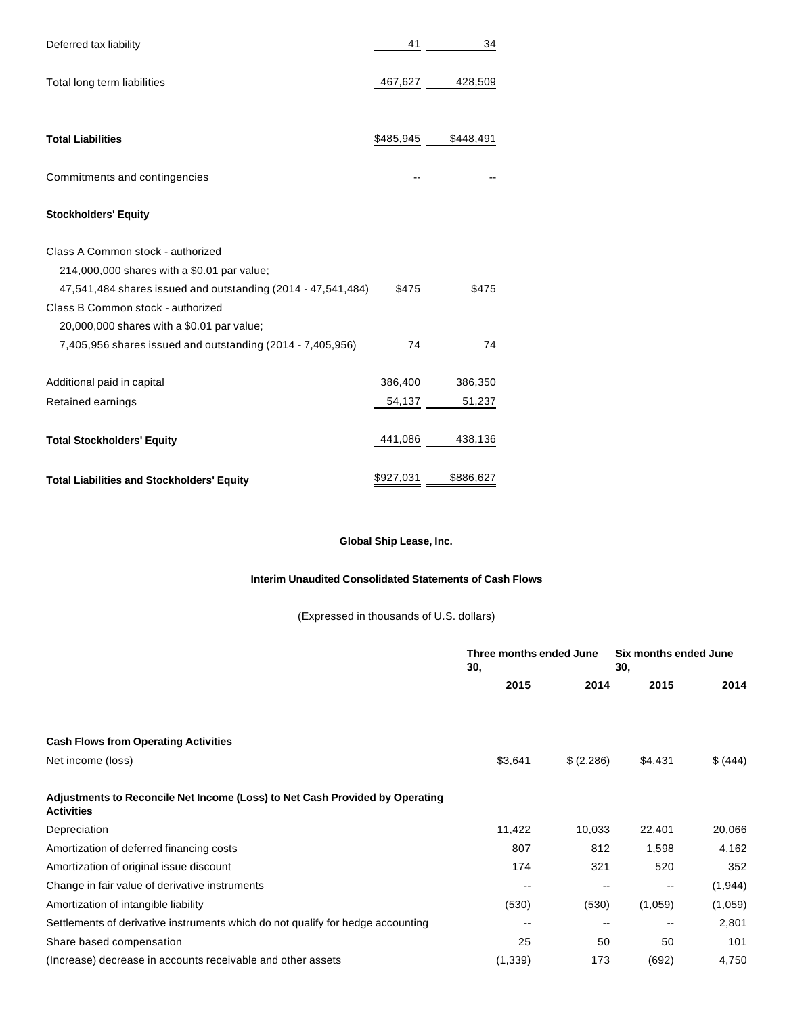| Deferred tax liability                                       | 41        | 34        |
|--------------------------------------------------------------|-----------|-----------|
|                                                              |           |           |
| Total long term liabilities                                  | 467,627   | 428,509   |
|                                                              |           |           |
|                                                              |           |           |
| <b>Total Liabilities</b>                                     | \$485,945 | \$448,491 |
|                                                              |           |           |
| Commitments and contingencies                                |           |           |
|                                                              |           |           |
| <b>Stockholders' Equity</b>                                  |           |           |
|                                                              |           |           |
| Class A Common stock - authorized                            |           |           |
| 214,000,000 shares with a \$0.01 par value;                  |           |           |
| 47,541,484 shares issued and outstanding (2014 - 47,541,484) | \$475     | \$475     |
| Class B Common stock - authorized                            |           |           |
| 20,000,000 shares with a \$0.01 par value;                   |           |           |
| 7,405,956 shares issued and outstanding (2014 - 7,405,956)   | 74        | 74        |
|                                                              |           |           |
| Additional paid in capital                                   | 386,400   | 386,350   |
| Retained earnings                                            | 54,137    | 51,237    |
| <b>Total Stockholders' Equity</b>                            | 441,086   | 438,136   |
|                                                              |           |           |
| <b>Total Liabilities and Stockholders' Equity</b>            | \$927,031 | \$886,627 |
|                                                              |           |           |

# **Global Ship Lease, Inc.**

# **Interim Unaudited Consolidated Statements of Cash Flows**

(Expressed in thousands of U.S. dollars)

|                                                                                                   | Three months ended June<br>30, |           | Six months ended June<br>30, |          |
|---------------------------------------------------------------------------------------------------|--------------------------------|-----------|------------------------------|----------|
|                                                                                                   | 2015                           | 2014      | 2015                         | 2014     |
|                                                                                                   |                                |           |                              |          |
| <b>Cash Flows from Operating Activities</b>                                                       |                                |           |                              |          |
| Net income (loss)                                                                                 | \$3,641                        | \$(2,286) | \$4,431                      | \$ (444) |
| Adjustments to Reconcile Net Income (Loss) to Net Cash Provided by Operating<br><b>Activities</b> |                                |           |                              |          |
| Depreciation                                                                                      | 11,422                         | 10,033    | 22,401                       | 20,066   |
| Amortization of deferred financing costs                                                          | 807                            | 812       | 1,598                        | 4,162    |
| Amortization of original issue discount                                                           | 174                            | 321       | 520                          | 352      |
| Change in fair value of derivative instruments                                                    | $\overline{\phantom{m}}$       | --        | $\sim$                       | (1,944)  |
| Amortization of intangible liability                                                              | (530)                          | (530)     | (1,059)                      | (1,059)  |
| Settlements of derivative instruments which do not qualify for hedge accounting                   | --                             |           | --                           | 2,801    |
| Share based compensation                                                                          | 25                             | 50        | 50                           | 101      |
| (Increase) decrease in accounts receivable and other assets                                       | (1, 339)                       | 173       | (692)                        | 4,750    |